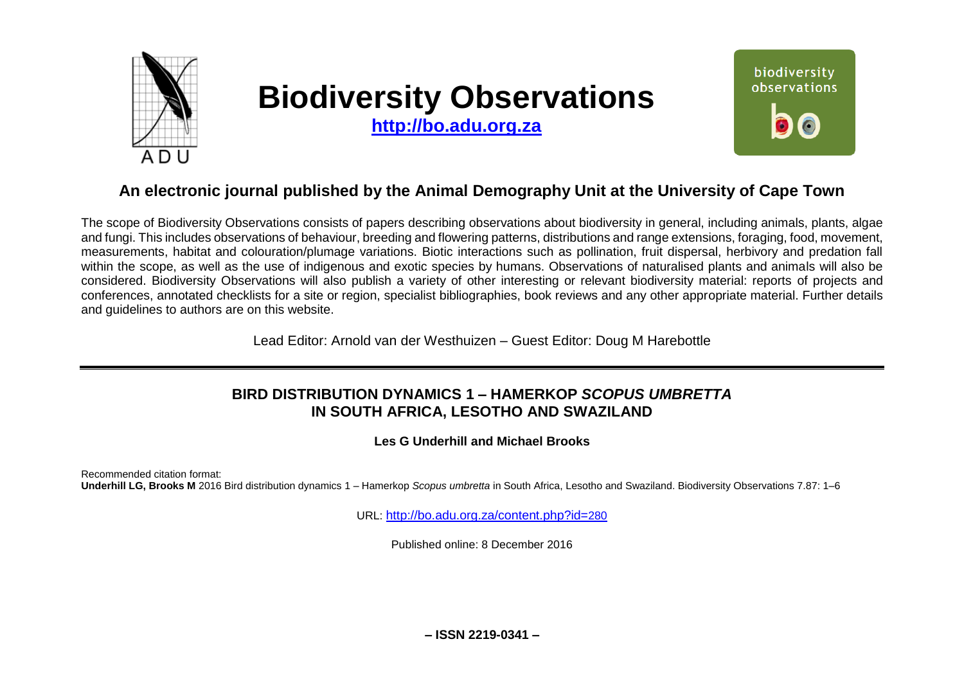

# **Biodiversity Observations**

**[http://bo.adu.org.za](http://bo.adu.org.za/)**



## **An electronic journal published by the Animal Demography Unit at the University of Cape Town**

The scope of Biodiversity Observations consists of papers describing observations about biodiversity in general, including animals, plants, algae and fungi. This includes observations of behaviour, breeding and flowering patterns, distributions and range extensions, foraging, food, movement, measurements, habitat and colouration/plumage variations. Biotic interactions such as pollination, fruit dispersal, herbivory and predation fall within the scope, as well as the use of indigenous and exotic species by humans. Observations of naturalised plants and animals will also be considered. Biodiversity Observations will also publish a variety of other interesting or relevant biodiversity material: reports of projects and conferences, annotated checklists for a site or region, specialist bibliographies, book reviews and any other appropriate material. Further details and guidelines to authors are on this website.

Lead Editor: Arnold van der Westhuizen – Guest Editor: Doug M Harebottle

## **BIRD DISTRIBUTION DYNAMICS 1 – HAMERKOP** *SCOPUS UMBRETTA* **IN SOUTH AFRICA, LESOTHO AND SWAZILAND**

**Les G Underhill and Michael Brooks**

Recommended citation format: **Underhill LG, Brooks M** 2016 Bird distribution dynamics 1 – Hamerkop *Scopus umbretta* in South Africa, Lesotho and Swaziland. Biodiversity Observations 7.87: 1–6

URL: [http://bo.adu.org.za/content.php?id=](http://bo.adu.org.za/content.php?id=280)280

Published online: 8 December 2016

**– ISSN 2219-0341 –**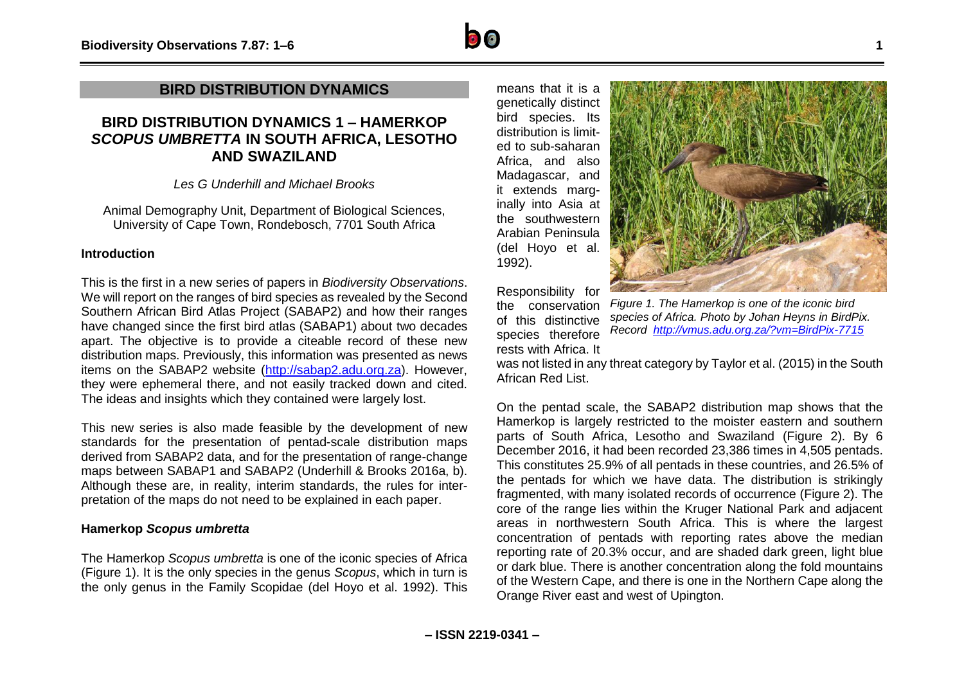## **BIRD DISTRIBUTION DYNAMICS**

## **BIRD DISTRIBUTION DYNAMICS 1 – HAMERKOP**  *SCOPUS UMBRETTA* **IN SOUTH AFRICA, LESOTHO AND SWAZILAND**

*Les G Underhill and Michael Brooks*

Animal Demography Unit, Department of Biological Sciences, University of Cape Town, Rondebosch, 7701 South Africa

### **Introduction**

This is the first in a new series of papers in *Biodiversity Observations*. We will report on the ranges of bird species as revealed by the Second Southern African Bird Atlas Project (SABAP2) and how their ranges have changed since the first bird atlas (SABAP1) about two decades apart. The objective is to provide a citeable record of these new distribution maps. Previously, this information was presented as news items on the SABAP2 website [\(http://sabap2.adu.org.za\)](http://sabap2.adu.org.za/). However, they were ephemeral there, and not easily tracked down and cited. The ideas and insights which they contained were largely lost.

This new series is also made feasible by the development of new standards for the presentation of pentad-scale distribution maps derived from SABAP2 data, and for the presentation of range-change maps between SABAP1 and SABAP2 (Underhill & Brooks 2016a, b). Although these are, in reality, interim standards, the rules for interpretation of the maps do not need to be explained in each paper.

### **Hamerkop** *Scopus umbretta*

The Hamerkop *Scopus umbretta* is one of the iconic species of Africa (Figure 1). It is the only species in the genus *Scopus*, which in turn is the only genus in the Family Scopidae (del Hoyo et al. 1992). This

means that it is a genetically distinct bird species. Its distribution is limited to sub-saharan Africa, and also Madagascar, and it extends marginally into Asia at the southwestern Arabian Peninsula (del Hoyo et al. 1992).



Responsibility for the conservation of this distinctive species therefore rests with Africa. It

*Figure 1. The Hamerkop is one of the iconic bird species of Africa. Photo by Johan Heyns in BirdPix. Record <http://vmus.adu.org.za/?vm=BirdPix-7715>*

was not listed in any threat category by Taylor et al. (2015) in the South African Red List.

On the pentad scale, the SABAP2 distribution map shows that the Hamerkop is largely restricted to the moister eastern and southern parts of South Africa, Lesotho and Swaziland (Figure 2). By 6 December 2016, it had been recorded 23,386 times in 4,505 pentads. This constitutes 25.9% of all pentads in these countries, and 26.5% of the pentads for which we have data. The distribution is strikingly fragmented, with many isolated records of occurrence (Figure 2). The core of the range lies within the Kruger National Park and adjacent areas in northwestern South Africa. This is where the largest concentration of pentads with reporting rates above the median reporting rate of 20.3% occur, and are shaded dark green, light blue or dark blue. There is another concentration along the fold mountains of the Western Cape, and there is one in the Northern Cape along the Orange River east and west of Upington.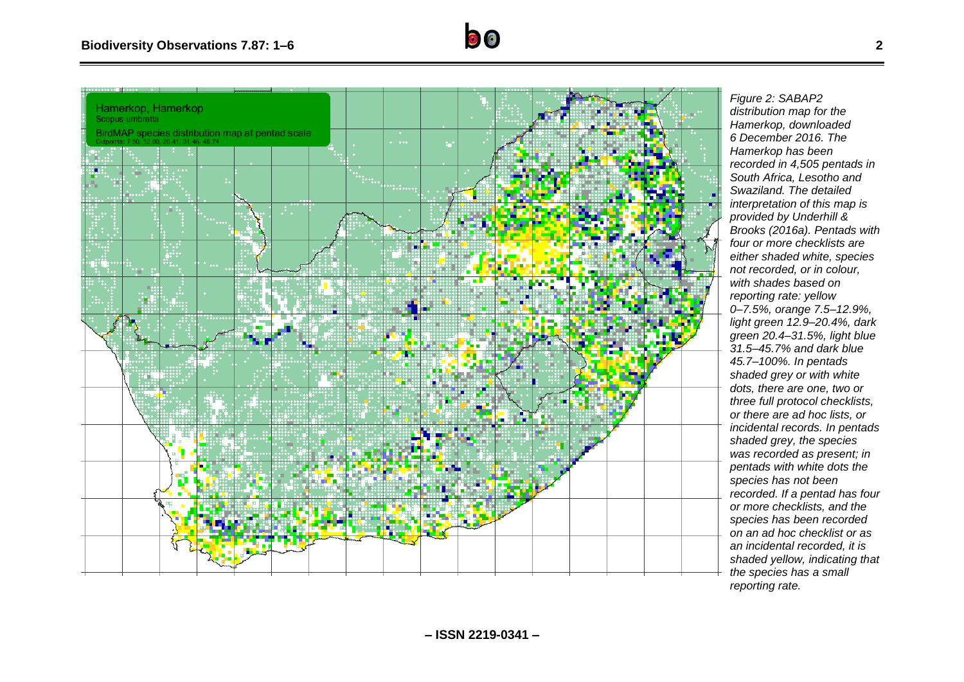

*Figure 2: SABAP2 distribution map for the Hamerkop, downloaded 6 December 2016. The Hamerkop has been recorded in 4,505 pentads in South Africa, Lesotho and Swaziland. The detailed interpretation of this map is provided by Underhill & Brooks (2016a). Pentads with four or more checklists are either shaded white, species not recorded, or in colour, with shades based on reporting rate: yellow 0–7.5%, orange 7.5–12.9%, light green 12.9–20.4%, dark green 20.4–31.5%, light blue 31.5–45.7% and dark blue 45.7–100%. In pentads shaded grey or with white dots, there are one, two or three full protocol checklists, or there are ad hoc lists, or incidental records. In pentads shaded grey, the species was recorded as present; in pentads with white dots the species has not been recorded. If a pentad has four or more checklists, and the species has been recorded on an ad hoc checklist or as an incidental recorded, it is shaded yellow, indicating that the species has a small* 

 $\bullet$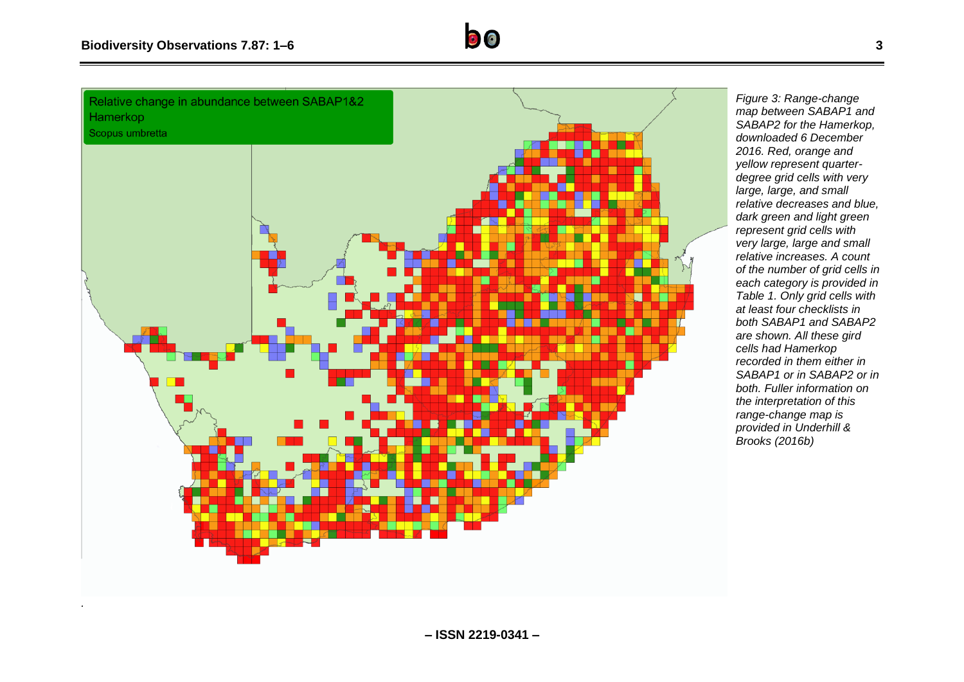*.*



*Figure 3: Range-change map between SABAP1 and SABAP2 for the Hamerkop, downloaded 6 December 2016. Red, orange and yellow represent quarterdegree grid cells with very large, large, and small relative decreases and blue, dark green and light green represent grid cells with very large, large and small relative increases. A count of the number of grid cells in each category is provided in Table 1. Only grid cells with at least four checklists in both SABAP1 and SABAP2 are shown. All these gird cells had Hamerkop recorded in them either in SABAP1 or in SABAP2 or in both. Fuller information on the interpretation of this range-change map is provided in Underhill & Brooks (2016b)*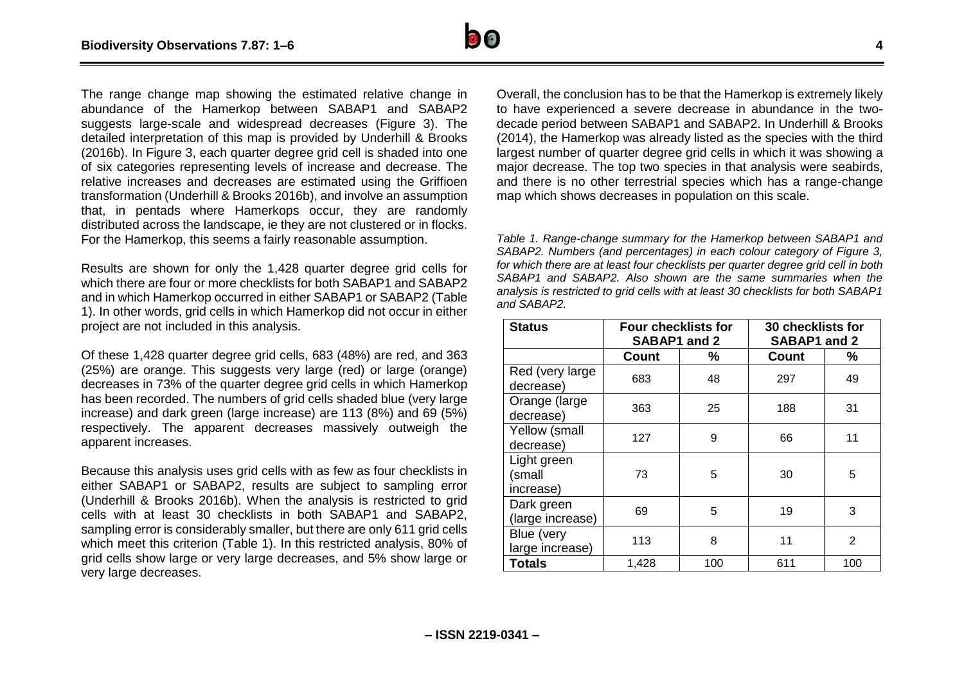

The range change map showing the estimated relative change in abundance of the Hamerkop between SABAP1 and SABAP2 suggests large-scale and widespread decreases (Figure 3). The detailed interpretation of this map is provided by Underhill & Brooks (2016b). In Figure 3, each quarter degree grid cell is shaded into one of six categories representing levels of increase and decrease. The relative increases and decreases are estimated using the Griffioen transformation (Underhill & Brooks 2016b), and involve an assumption that, in pentads where Hamerkops occur, they are randomly distributed across the landscape, ie they are not clustered or in flocks. For the Hamerkop, this seems a fairly reasonable assumption.

Results are shown for only the 1,428 quarter degree grid cells for which there are four or more checklists for both SABAP1 and SABAP2 and in which Hamerkop occurred in either SABAP1 or SABAP2 (Table 1). In other words, grid cells in which Hamerkop did not occur in either project are not included in this analysis.

Of these 1,428 quarter degree grid cells, 683 (48%) are red, and 363 (25%) are orange. This suggests very large (red) or large (orange) decreases in 73% of the quarter degree grid cells in which Hamerkop has been recorded. The numbers of grid cells shaded blue (very large increase) and dark green (large increase) are 113 (8%) and 69 (5%) respectively. The apparent decreases massively outweigh the apparent increases.

Because this analysis uses grid cells with as few as four checklists in either SABAP1 or SABAP2, results are subject to sampling error (Underhill & Brooks 2016b). When the analysis is restricted to grid cells with at least 30 checklists in both SABAP1 and SABAP2, sampling error is considerably smaller, but there are only 611 grid cells which meet this criterion (Table 1). In this restricted analysis, 80% of grid cells show large or very large decreases, and 5% show large or very large decreases.

Overall, the conclusion has to be that the Hamerkop is extremely likely to have experienced a severe decrease in abundance in the twodecade period between SABAP1 and SABAP2. In Underhill & Brooks (2014), the Hamerkop was already listed as the species with the third largest number of quarter degree grid cells in which it was showing a major decrease. The top two species in that analysis were seabirds, and there is no other terrestrial species which has a range-change map which shows decreases in population on this scale.

*Table 1. Range-change summary for the Hamerkop between SABAP1 and SABAP2. Numbers (and percentages) in each colour category of Figure 3, for which there are at least four checklists per quarter degree grid cell in both SABAP1 and SABAP2. Also shown are the same summaries when the analysis is restricted to grid cells with at least 30 checklists for both SABAP1 and SABAP2.*

| <b>Status</b>                      | <b>Four checklists for</b><br>SABAP1 and 2 |     | <b>30 checklists for</b><br>SABAP1 and 2 |                |
|------------------------------------|--------------------------------------------|-----|------------------------------------------|----------------|
|                                    | <b>Count</b>                               | %   | Count                                    | %              |
| Red (very large)<br>decrease)      | 683                                        | 48  | 297                                      | 49             |
| Orange (large<br>decrease)         | 363                                        | 25  | 188                                      | 31             |
| Yellow (small<br>decrease)         | 127                                        | 9   | 66                                       | 11             |
| Light green<br>(small<br>increase) | 73                                         | 5   | 30                                       | 5              |
| Dark green<br>(large increase)     | 69                                         | 5   | 19                                       | 3              |
| Blue (very<br>large increase)      | 113                                        | 8   | 11                                       | $\overline{2}$ |
| <b>Totals</b>                      | 1,428                                      | 100 | 611                                      | 100            |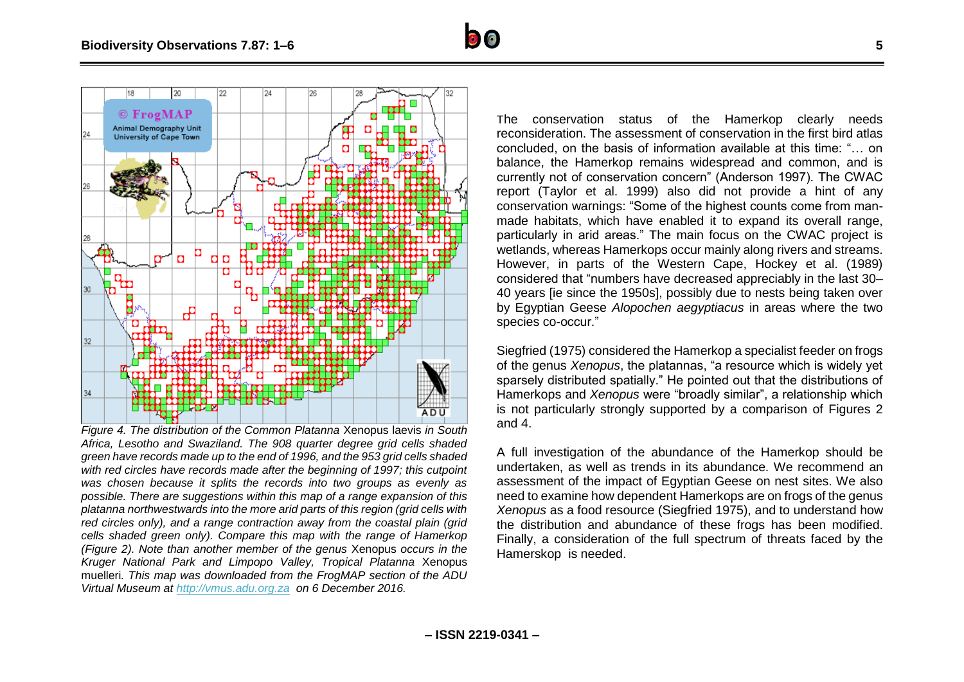

*Figure 4. The distribution of the Common Platanna* Xenopus laevis *in South Africa, Lesotho and Swaziland. The 908 quarter degree grid cells shaded green have records made up to the end of 1996, and the 953 grid cells shaded*  with red circles have records made after the beginning of 1997; this cutpoint *was chosen because it splits the records into two groups as evenly as possible. There are suggestions within this map of a range expansion of this platanna northwestwards into the more arid parts of this region (grid cells with red circles only), and a range contraction away from the coastal plain (grid cells shaded green only). Compare this map with the range of Hamerkop (Figure 2). Note than another member of the genus* Xenopus *occurs in the Kruger National Park and Limpopo Valley, Tropical Platanna* Xenopus muelleri*. This map was downloaded from the FrogMAP section of the ADU Virtual Museum at [http://vmus.adu.org.za](http://vmus.adu.org.za/) on 6 December 2016.*

**– ISSN 2219-0341 –**

The conservation status of the Hamerkop clearly needs reconsideration. The assessment of conservation in the first bird atlas concluded, on the basis of information available at this time: "… on balance, the Hamerkop remains widespread and common, and is currently not of conservation concern" (Anderson 1997). The CWAC report (Taylor et al. 1999) also did not provide a hint of any conservation warnings: "Some of the highest counts come from manmade habitats, which have enabled it to expand its overall range, particularly in arid areas." The main focus on the CWAC project is wetlands, whereas Hamerkops occur mainly along rivers and streams. However, in parts of the Western Cape, Hockey et al. (1989) considered that "numbers have decreased appreciably in the last 30– 40 years [ie since the 1950s], possibly due to nests being taken over by Egyptian Geese *Alopochen aegyptiacus* in areas where the two species co-occur."

Siegfried (1975) considered the Hamerkop a specialist feeder on frogs of the genus *Xenopus*, the platannas, "a resource which is widely yet sparsely distributed spatially." He pointed out that the distributions of Hamerkops and *Xenopus* were "broadly similar", a relationship which is not particularly strongly supported by a comparison of Figures 2 and 4.

A full investigation of the abundance of the Hamerkop should be undertaken, as well as trends in its abundance. We recommend an assessment of the impact of Egyptian Geese on nest sites. We also need to examine how dependent Hamerkops are on frogs of the genus *Xenopus* as a food resource (Siegfried 1975), and to understand how the distribution and abundance of these frogs has been modified. Finally, a consideration of the full spectrum of threats faced by the Hamerskop is needed.